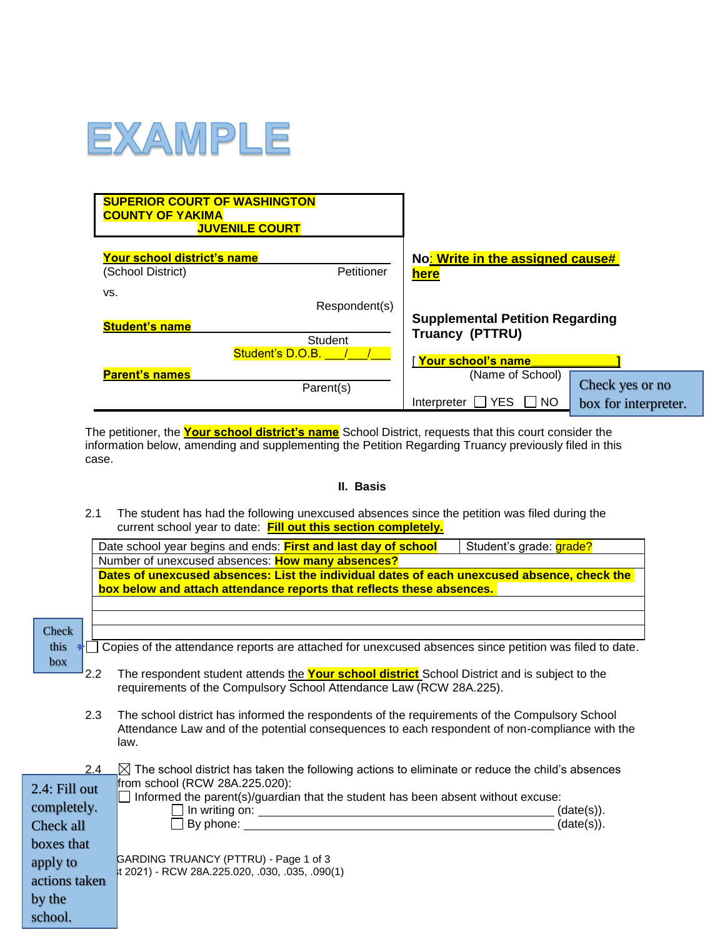

| <b>SUPERIOR COURT OF WASHINGTON</b><br><b>COUNTY OF YAKIMA</b> | <b>JUVENILE COURT</b> |                                        |                      |
|----------------------------------------------------------------|-----------------------|----------------------------------------|----------------------|
| Your school district's name                                    |                       | No: Write in the assigned cause#       |                      |
| (School District)                                              | Petitioner            | <b>here</b>                            |                      |
| VS.<br><b>Student's name</b>                                   | Respondent(s)         | <b>Supplemental Petition Regarding</b> |                      |
|                                                                | Student               | Truancy (PTTRU)                        |                      |
|                                                                | Student's D.O.B.      | Your school's name                     |                      |
| <b>Parent's names</b>                                          | Parent(s)             | (Name of School)                       | Check yes or no      |
|                                                                |                       | <b>YES</b><br><b>NO</b><br>Interpreter | box for interpreter. |

The petitioner, the **Your school district's name** School District, requests that this court consider the information below, amending and supplementing the Petition Regarding Truancy previously filed in this case.

## **II. Basis**

2.1 The student has had the following unexcused absences since the petition was filed during the current school year to date: **Fill out this section completely.**

|               |     | Date school year begins and ends: First and last day of school<br>Student's grade: grade?                                                                                                                                     |                          |
|---------------|-----|-------------------------------------------------------------------------------------------------------------------------------------------------------------------------------------------------------------------------------|--------------------------|
|               |     | Number of unexcused absences: How many absences?                                                                                                                                                                              |                          |
|               |     | Dates of unexcused absences: List the individual dates of each unexcused absence, check the                                                                                                                                   |                          |
|               |     | box below and attach attendance reports that reflects these absences.                                                                                                                                                         |                          |
|               |     |                                                                                                                                                                                                                               |                          |
|               |     |                                                                                                                                                                                                                               |                          |
| <b>Check</b>  |     |                                                                                                                                                                                                                               |                          |
| this          |     | Copies of the attendance reports are attached for unexcused absences since petition was filed to date.                                                                                                                        |                          |
| box           |     |                                                                                                                                                                                                                               |                          |
|               | 2.2 | The respondent student attends the Your school district School District and is subject to the                                                                                                                                 |                          |
|               |     | requirements of the Compulsory School Attendance Law (RCW 28A.225).                                                                                                                                                           |                          |
|               | 2.3 | The school district has informed the respondents of the requirements of the Compulsory School                                                                                                                                 |                          |
|               |     | Attendance Law and of the potential consequences to each respondent of non-compliance with the                                                                                                                                |                          |
|               |     | law.                                                                                                                                                                                                                          |                          |
|               |     |                                                                                                                                                                                                                               |                          |
|               | 2.4 | $\boxtimes$ The school district has taken the following actions to eliminate or reduce the child's absences                                                                                                                   |                          |
| 2.4: Fill out |     | from school (RCW 28A.225.020):                                                                                                                                                                                                |                          |
| completely.   |     | Informed the parent(s)/guardian that the student has been absent without excuse:                                                                                                                                              |                          |
|               |     | By phone: the contract of the contract of the contract of the contract of the contract of the contract of the contract of the contract of the contract of the contract of the contract of the contract of the contract of the | (date(s)).<br>(date(s)). |
| Check all     |     |                                                                                                                                                                                                                               |                          |
| boxes that    |     |                                                                                                                                                                                                                               |                          |
| apply to      |     | GARDING TRUANCY (PTTRU) - Page 1 of 3                                                                                                                                                                                         |                          |
| actions taken |     | t 2021) - RCW 28A.225.020, .030, .035, .090(1)                                                                                                                                                                                |                          |
| by the        |     |                                                                                                                                                                                                                               |                          |
|               |     |                                                                                                                                                                                                                               |                          |
| school.       |     |                                                                                                                                                                                                                               |                          |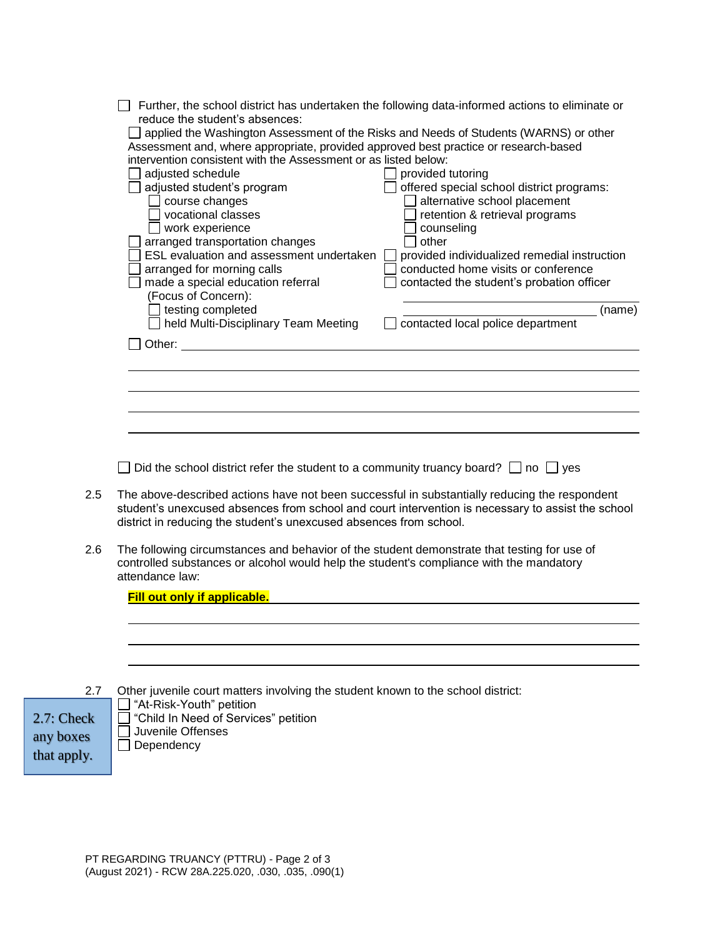|                                                 | Further, the school district has undertaken the following data-informed actions to eliminate or<br>reduce the student's absences:<br>applied the Washington Assessment of the Risks and Needs of Students (WARNS) or other<br>Assessment and, where appropriate, provided approved best practice or research-based<br>intervention consistent with the Assessment or as listed below:<br>adjusted schedule<br>provided tutoring<br>offered special school district programs:<br>adjusted student's program<br>alternative school placement<br>course changes<br>vocational classes<br>retention & retrieval programs<br>$\Box$ work experience<br>counseling<br>arranged transportation changes<br>other<br>ESL evaluation and assessment undertaken<br>provided individualized remedial instruction<br>arranged for morning calls<br>conducted home visits or conference<br>made a special education referral<br>contacted the student's probation officer<br>(Focus of Concern):<br>testing completed<br>(name)<br>held Multi-Disciplinary Team Meeting<br>contacted local police department<br>Other: the contract of the contract of the contract of the contract of the contract of the contract of the contract of the contract of the contract of the contract of the contract of the contract of the contract of the con |
|-------------------------------------------------|----------------------------------------------------------------------------------------------------------------------------------------------------------------------------------------------------------------------------------------------------------------------------------------------------------------------------------------------------------------------------------------------------------------------------------------------------------------------------------------------------------------------------------------------------------------------------------------------------------------------------------------------------------------------------------------------------------------------------------------------------------------------------------------------------------------------------------------------------------------------------------------------------------------------------------------------------------------------------------------------------------------------------------------------------------------------------------------------------------------------------------------------------------------------------------------------------------------------------------------------------------------------------------------------------------------------------------|
|                                                 |                                                                                                                                                                                                                                                                                                                                                                                                                                                                                                                                                                                                                                                                                                                                                                                                                                                                                                                                                                                                                                                                                                                                                                                                                                                                                                                                  |
|                                                 |                                                                                                                                                                                                                                                                                                                                                                                                                                                                                                                                                                                                                                                                                                                                                                                                                                                                                                                                                                                                                                                                                                                                                                                                                                                                                                                                  |
|                                                 | Did the school district refer the student to a community truancy board? $\Box$ no $\Box$ yes                                                                                                                                                                                                                                                                                                                                                                                                                                                                                                                                                                                                                                                                                                                                                                                                                                                                                                                                                                                                                                                                                                                                                                                                                                     |
| 2.5                                             | The above-described actions have not been successful in substantially reducing the respondent<br>student's unexcused absences from school and court intervention is necessary to assist the school<br>district in reducing the student's unexcused absences from school.                                                                                                                                                                                                                                                                                                                                                                                                                                                                                                                                                                                                                                                                                                                                                                                                                                                                                                                                                                                                                                                         |
| 2.6                                             | The following circumstances and behavior of the student demonstrate that testing for use of<br>controlled substances or alcohol would help the student's compliance with the mandatory<br>attendance law:                                                                                                                                                                                                                                                                                                                                                                                                                                                                                                                                                                                                                                                                                                                                                                                                                                                                                                                                                                                                                                                                                                                        |
|                                                 | <b>Fill out only if applicable.</b>                                                                                                                                                                                                                                                                                                                                                                                                                                                                                                                                                                                                                                                                                                                                                                                                                                                                                                                                                                                                                                                                                                                                                                                                                                                                                              |
|                                                 |                                                                                                                                                                                                                                                                                                                                                                                                                                                                                                                                                                                                                                                                                                                                                                                                                                                                                                                                                                                                                                                                                                                                                                                                                                                                                                                                  |
| 2.7<br>$2.7:$ Check<br>any boxes<br>that apply. | Other juvenile court matters involving the student known to the school district:<br>"At-Risk-Youth" petition<br>"Child In Need of Services" petition<br>Juvenile Offenses<br>Dependency                                                                                                                                                                                                                                                                                                                                                                                                                                                                                                                                                                                                                                                                                                                                                                                                                                                                                                                                                                                                                                                                                                                                          |